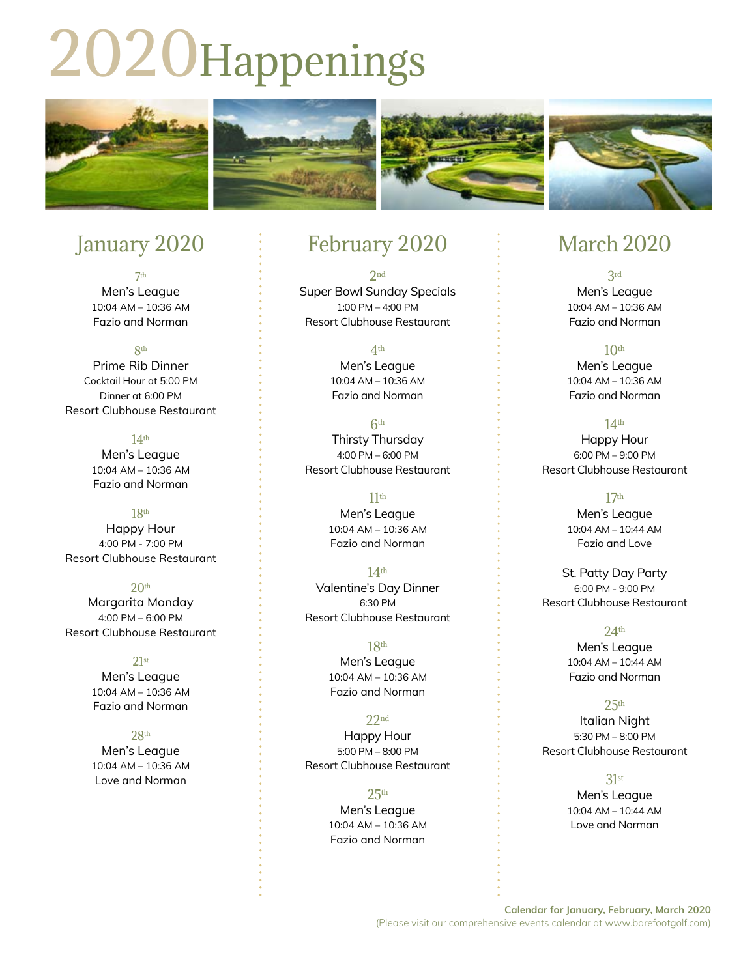# 2020Happenings



# January 2020

7th Men's League 10:04 AM – 10:36 AM Fazio and Norman

**Rth** 

Prime Rib Dinner Cocktail Hour at 5:00 PM Dinner at 6:00 PM Resort Clubhouse Restaurant

#### 14th

Men's League 10:04 AM – 10:36 AM Fazio and Norman

#### 18th

Happy Hour 4:00 PM - 7:00 PM Resort Clubhouse Restaurant

#### $20<sup>th</sup>$

Margarita Monday 4:00 PM – 6:00 PM Resort Clubhouse Restaurant

21st

Men's League 10:04 AM – 10:36 AM Fazio and Norman

#### 28th

Men's League 10:04 AM – 10:36 AM Love and Norman

### February 2020

2nd Super Bowl Sunday Specials 1:00 PM – 4:00 PM Resort Clubhouse Restaurant

4th

Men's League 10:04 AM – 10:36 AM Fazio and Norman

6th Thirsty Thursday 4:00 PM – 6:00 PM Resort Clubhouse Restaurant

#### $11<sup>th</sup>$

Men's League 10:04 AM – 10:36 AM Fazio and Norman

#### $14<sup>th</sup>$ Valentine's Day Dinner 6:30 PM Resort Clubhouse Restaurant

18th Men's League 10:04 AM – 10:36 AM Fazio and Norman

22nd Happy Hour 5:00 PM – 8:00 PM Resort Clubhouse Restaurant

#### $25<sup>th</sup>$

Men's League 10:04 AM – 10:36 AM Fazio and Norman

## March 2020

3rd Men's League 10:04 AM – 10:36 AM Fazio and Norman

#### $10<sup>th</sup>$

Men's League 10:04 AM – 10:36 AM Fazio and Norman

#### 14th

Happy Hour 6:00 PM – 9:00 PM Resort Clubhouse Restaurant

17th Men's League 10:04 AM – 10:44 AM Fazio and Love

St. Patty Day Party 6:00 PM - 9:00 PM Resort Clubhouse Restaurant

Men's League 10:04 AM – 10:44 AM Fazio and Norman

24th

 $25<sup>th</sup>$ 

Italian Night 5:30 PM – 8:00 PM Resort Clubhouse Restaurant

#### 31st

Men's League 10:04 AM – 10:44 AM Love and Norman